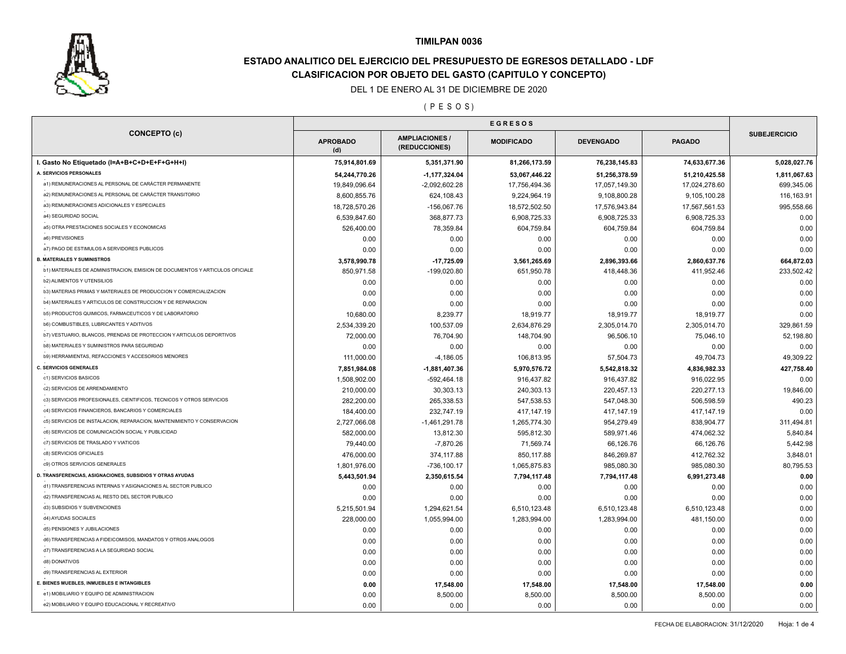

# **ESTADO ANALITICO DEL EJERCICIO DEL PRESUPUESTO DE EGRESOS DETALLADO - LDF CLASIFICACION POR OBJETO DEL GASTO (CAPITULO Y CONCEPTO)**

#### DEL 1 DE ENERO AL 31 DE DICIEMBRE DE 2020

### ( P E S O S )

| <b>CONCEPTO (c)</b>                                                          | <b>APROBADO</b><br>(d)     | <b>AMPLIACIONES /</b><br>(REDUCCIONES) | <b>MODIFICADO</b> | <b>DEVENGADO</b> | <b>PAGADO</b> | <b>SUBEJERCICIO</b>    |
|------------------------------------------------------------------------------|----------------------------|----------------------------------------|-------------------|------------------|---------------|------------------------|
| I. Gasto No Etiquetado (I=A+B+C+D+E+F+G+H+I)                                 | 75,914,801.69              | 5,351,371.90                           | 81,266,173.59     | 76,238,145.83    | 74,633,677.36 | 5,028,027.76           |
| A. SERVICIOS PERSONALES                                                      | 54,244,770.26              | $-1, 177, 324.04$                      | 53,067,446.22     | 51,256,378.59    | 51,210,425.58 | 1,811,067.63           |
| a1) REMUNERACIONES AL PERSONAL DE CARÁCTER PERMANENTE                        | 19,849,096.64              | $-2,092,602.28$                        | 17,756,494.36     | 17,057,149.30    | 17,024,278.60 | 699,345.06             |
| a2) REMUNERACIONES AL PERSONAL DE CARÁCTER TRANSITORIO                       | 8,600,855.76               | 624,108.43                             | 9,224,964.19      | 9,108,800.28     | 9,105,100.28  | 116,163.91             |
| a3) REMUNERACIONES ADICIONALES Y ESPECIALES                                  | 18,728,570.26              | $-156,067.76$                          | 18,572,502.50     | 17,576,943.84    | 17,567,561.53 | 995,558.66             |
| a4) SEGURIDAD SOCIAL                                                         | 6,539,847.60               | 368,877.73                             | 6,908,725.33      | 6,908,725.33     | 6,908,725.33  | 0.00                   |
| a5) OTRA PRESTACIONES SOCIALES Y ECONOMICAS                                  | 526,400.00                 | 78,359.84                              | 604,759.84        | 604,759.84       | 604,759.84    | 0.00                   |
| a6) PREVISIONES                                                              | 0.00                       | 0.00                                   | 0.00              | 0.00             | 0.00          | 0.00                   |
| a7) PAGO DE ESTIMULOS A SERVIDORES PUBLICOS                                  | 0.00                       | 0.00                                   | 0.00              | 0.00             | 0.00          | 0.00                   |
| <b>B. MATERIALES Y SUMINISTROS</b>                                           | 3,578,990.78               | $-17,725.09$                           | 3,561,265.69      | 2,896,393.66     | 2,860,637.76  | 664,872.03             |
| b1) MATERIALES DE ADMINISTRACION, EMISION DE DOCUMENTOS Y ARTICULOS OFICIALE | 850,971.58                 | $-199,020.80$                          | 651,950.78        | 418,448.36       | 411,952.46    | 233,502.42             |
| b2) ALIMENTOS Y UTENSILIOS                                                   | 0.00                       | 0.00                                   | 0.00              | 0.00             | 0.00          | 0.00                   |
| b3) MATERIAS PRIMAS Y MATERIALES DE PRODUCCION Y COMERCIALIZACION            | 0.00                       | 0.00                                   | 0.00              | 0.00             | 0.00          | 0.00                   |
| b4) MATERIALES Y ARTICULOS DE CONSTRUCCION Y DE REPARACION                   | 0.00                       | 0.00                                   | 0.00              | 0.00             | 0.00          | 0.00                   |
| b5) PRODUCTOS QUIMICOS, FARMACEUTICOS Y DE LABORATORIO                       | 10,680.00                  | 8,239.77                               | 18,919.77         | 18,919.77        | 18,919.77     | 0.00                   |
| b6) COMBUSTIBLES, LUBRICANTES Y ADITIVOS                                     | 2,534,339.20               | 100,537.09                             | 2,634,876.29      | 2,305,014.70     | 2,305,014.70  | 329,861.59             |
| b7) VESTUARIO, BLANCOS, PRENDAS DE PROTECCION Y ARTICULOS DEPORTIVOS         | 72,000.00                  | 76,704.90                              | 148,704.90        | 96,506.10        | 75,046.10     | 52,198.80              |
| <b>b8) MATERIALES Y SUMINISTROS PARA SEGURIDAD</b>                           | 0.00                       | 0.00                                   | 0.00              | 0.00             | 0.00          | 0.00                   |
| b9) HERRAMIENTAS, REFACCIONES Y ACCESORIOS MENORES                           | 111,000.00                 | $-4,186.05$                            | 106,813.95        | 57,504.73        | 49,704.73     | 49,309.22              |
| <b>C. SERVICIOS GENERALES</b>                                                | 7,851,984.08               | $-1,881,407.36$                        | 5,970,576.72      | 5,542,818.32     | 4,836,982.33  | 427,758.40             |
| c1) SERVICIOS BASICOS                                                        | 1,508,902.00               | $-592,464.18$                          | 916,437.82        | 916,437.82       | 916,022.95    | 0.00                   |
| c2) SERVICIOS DE ARRENDAMIENTO                                               | 210,000.00                 | 30,303.13                              | 240,303.13        | 220,457.13       | 220, 277.13   | 19,846.00              |
| c3) SERVICIOS PROFESIONALES, CIENTIFICOS, TECNICOS Y OTROS SERVICIOS         | 282,200.00                 | 265,338.53                             | 547,538.53        | 547,048.30       | 506,598.59    | 490.23                 |
| c4) SERVICIOS FINANCIEROS, BANCARIOS Y COMERCIALES                           | 184,400.00                 | 232,747.19                             | 417,147.19        | 417, 147. 19     | 417, 147. 19  | 0.00                   |
| c5) SERVICIOS DE INSTALACION, REPARACION, MANTENIMIENTO Y CONSERVACION       |                            |                                        | 1,265,774.30      | 954,279.49       | 838,904.77    |                        |
| c6) SERVICIOS DE COMUNICACIÓN SOCIAL Y PUBLICIDAD                            | 2,727,066.08<br>582,000.00 | $-1,461,291.78$<br>13,812.30           |                   | 589,971.46       | 474,062.32    | 311,494.81<br>5,840.84 |
| c7) SERVICIOS DE TRASLADO Y VIATICOS                                         |                            |                                        | 595,812.30        |                  |               |                        |
| c8) SERVICIOS OFICIALES                                                      | 79,440.00                  | $-7,870.26$                            | 71,569.74         | 66,126.76        | 66,126.76     | 5,442.98               |
| c9) OTROS SERVICIOS GENERALES                                                | 476,000.00                 | 374,117.88                             | 850,117.88        | 846,269.87       | 412,762.32    | 3,848.01               |
| D. TRANSFERENCIAS, ASIGNACIONES, SUBSIDIOS Y OTRAS AYUDAS                    | 1,801,976.00               | $-736, 100.17$                         | 1,065,875.83      | 985,080.30       | 985,080.30    | 80,795.53              |
| d1) TRANSFERENCIAS INTERNAS Y ASIGNACIONES AL SECTOR PUBLICO                 | 5,443,501.94               | 2,350,615.54                           | 7,794,117.48      | 7,794,117.48     | 6,991,273.48  | 0.00                   |
| d2) TRANSFERENCIAS AL RESTO DEL SECTOR PUBLICO                               | 0.00                       | 0.00                                   | 0.00              | 0.00             | 0.00          | 0.00                   |
|                                                                              | 0.00                       | 0.00                                   | 0.00              | 0.00             | 0.00          | 0.00                   |
| d3) SUBSIDIOS Y SUBVENCIONES                                                 | 5,215,501.94               | 1,294,621.54                           | 6,510,123.48      | 6,510,123.48     | 6,510,123.48  | 0.00                   |
| d4) AYUDAS SOCIALES                                                          | 228,000.00                 | 1,055,994.00                           | 1,283,994.00      | 1,283,994.00     | 481,150.00    | 0.00                   |
| d5) PENSIONES Y JUBILACIONES                                                 | 0.00                       | 0.00                                   | 0.00              | 0.00             | 0.00          | 0.00                   |
| d6) TRANSFERENCIAS A FIDEICOMISOS, MANDATOS Y OTROS ANALOGOS                 | 0.00                       | 0.00                                   | 0.00              | 0.00             | 0.00          | 0.00                   |
| d7) TRANSFERENCIAS A LA SEGURIDAD SOCIAL                                     | 0.00                       | 0.00                                   | 0.00              | 0.00             | 0.00          | 0.00                   |
| d8) DONATIVOS                                                                | 0.00                       | 0.00                                   | 0.00              | 0.00             | 0.00          | 0.00                   |
| d9) TRANSFERENCIAS AL EXTERIOR                                               | 0.00                       | 0.00                                   | 0.00              | 0.00             | 0.00          | 0.00                   |
| E. BIENES MUEBLES, INMUEBLES E INTANGIBLES                                   | 0.00                       | 17,548.00                              | 17,548.00         | 17,548.00        | 17,548.00     | 0.00                   |
| e1) MOBILIARIO Y EQUIPO DE ADMINISTRACION                                    | 0.00                       | 8,500.00                               | 8,500.00          | 8,500.00         | 8,500.00      | 0.00                   |
| e2) MOBILIARIO Y EQUIPO EDUCACIONAL Y RECREATIVO                             | 0.00                       | 0.00                                   | 0.00              | 0.00             | 0.00          | 0.00                   |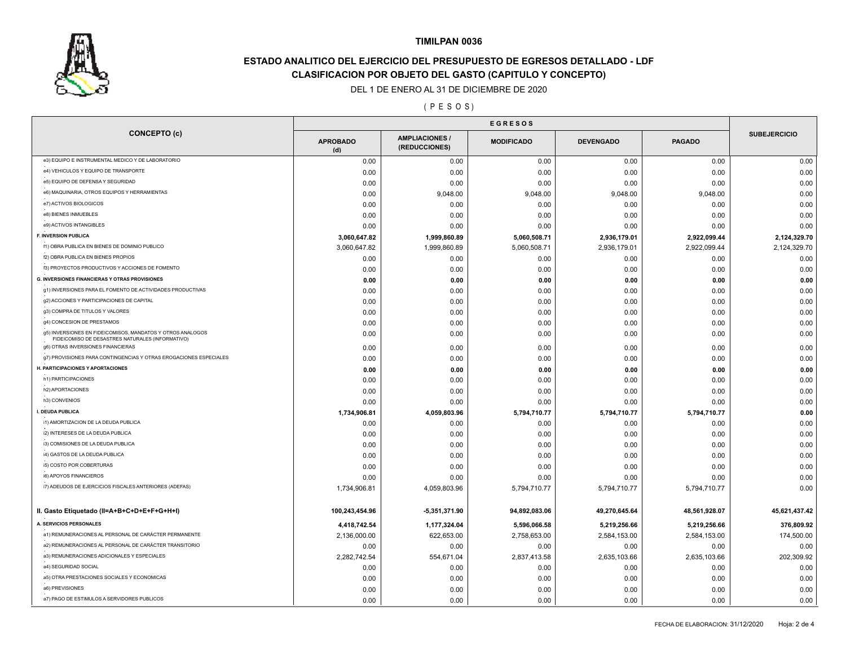

# **ESTADO ANALITICO DEL EJERCICIO DEL PRESUPUESTO DE EGRESOS DETALLADO - LDF CLASIFICACION POR OBJETO DEL GASTO (CAPITULO Y CONCEPTO)**

#### DEL 1 DE ENERO AL 31 DE DICIEMBRE DE 2020

### ( P E S O S )

|                                                                                                                |                        | <b>EGRESOS</b>                         |                   |                  |               |                     |
|----------------------------------------------------------------------------------------------------------------|------------------------|----------------------------------------|-------------------|------------------|---------------|---------------------|
| <b>CONCEPTO (c)</b>                                                                                            | <b>APROBADO</b><br>(d) | <b>AMPLIACIONES /</b><br>(REDUCCIONES) | <b>MODIFICADO</b> | <b>DEVENGADO</b> | <b>PAGADO</b> | <b>SUBEJERCICIO</b> |
| e3) EQUIPO E INSTRUMENTAL MEDICO Y DE LABORATORIO                                                              | 0.00                   | 0.00                                   | 0.00              | 0.00             | 0.00          | 0.00                |
| e4) VEHICULOS Y EQUIPO DE TRANSPORTE                                                                           | 0.00                   | 0.00                                   | 0.00              | 0.00             | 0.00          | 0.00                |
| e5) EQUIPO DE DEFENSA Y SEGURIDAD                                                                              | 0.00                   | 0.00                                   | 0.00              | 0.00             | 0.00          | 0.00                |
| e6) MAQUINARIA, OTROS EQUIPOS Y HERRAMIENTAS                                                                   | 0.00                   | 9,048.00                               | 9,048.00          | 9,048.00         | 9,048.00      | 0.00                |
| e7) ACTIVOS BIOLOGICOS                                                                                         | 0.00                   | 0.00                                   | 0.00              | 0.00             | 0.00          | 0.00                |
| e8) BIENES INMUEBLES                                                                                           | 0.00                   | 0.00                                   | 0.00              | 0.00             | 0.00          | 0.00                |
| e9) ACTIVOS INTANGIBLES                                                                                        | 0.00                   | 0.00                                   | 0.00              | 0.00             | 0.00          | 0.00                |
| F. INVERSION PUBLICA                                                                                           | 3,060,647.82           | 1,999,860.89                           | 5,060,508.71      | 2,936,179.01     | 2,922,099.44  | 2,124,329.70        |
| f1) OBRA PUBLICA EN BIENES DE DOMINIO PUBLICO                                                                  | 3,060,647.82           | 1,999,860.89                           | 5,060,508.71      | 2,936,179.01     | 2,922,099.44  | 2,124,329.70        |
| f2) OBRA PUBLICA EN BIENES PROPIOS                                                                             | 0.00                   | 0.00                                   | 0.00              | 0.00             | 0.00          | 0.00                |
| f3) PROYECTOS PRODUCTIVOS Y ACCIONES DE FOMENTO                                                                | 0.00                   | 0.00                                   | 0.00              | 0.00             | 0.00          | 0.00                |
| <b>G. INVERSIONES FINANCIERAS Y OTRAS PROVISIONES</b>                                                          | 0.00                   | 0.00                                   | 0.00              | 0.00             | 0.00          | 0.00                |
| g1) INVERSIONES PARA EL FOMENTO DE ACTIVIDADES PRODUCTIVAS                                                     | 0.00                   | 0.00                                   | 0.00              | 0.00             | 0.00          | 0.00                |
| g2) ACCIONES Y PARTICIPACIONES DE CAPITAL                                                                      | 0.00                   | 0.00                                   | 0.00              | 0.00             | 0.00          | 0.00                |
| g3) COMPRA DE TITULOS Y VALORES                                                                                | 0.00                   | 0.00                                   | 0.00              | 0.00             | 0.00          | 0.00                |
| g4) CONCESION DE PRESTAMOS                                                                                     | 0.00                   | 0.00                                   | 0.00              | 0.00             | 0.00          | 0.00                |
| g5) INVERSIONES EN FIDEICOMISOS, MANDATOS Y OTROS ANALOGOS<br>FIDEICOMISO DE DESASTRES NATURALES (INFORMATIVO) | 0.00                   | 0.00                                   | 0.00              | 0.00             | 0.00          | 0.00                |
| g6) OTRAS INVERSIONES FINANCIERAS                                                                              | 0.00                   | 0.00                                   | 0.00              | 0.00             | 0.00          | 0.00                |
| g7) PROVISIONES PARA CONTINGENCIAS Y OTRAS EROGACIONES ESPECIALES                                              | 0.00                   | 0.00                                   | 0.00              | 0.00             | 0.00          | 0.00                |
| H. PARTICIPACIONES Y APORTACIONES                                                                              | 0.00                   | 0.00                                   | 0.00              | 0.00             | 0.00          | 0.00                |
| h1) PARTICIPACIONES                                                                                            | 0.00                   | 0.00                                   | 0.00              | 0.00             | 0.00          | 0.00                |
| h2) APORTACIONES                                                                                               | 0.00                   | 0.00                                   | 0.00              | 0.00             | 0.00          | 0.00                |
| h3) CONVENIOS                                                                                                  | 0.00                   | 0.00                                   | 0.00              | 0.00             | 0.00          | 0.00                |
| I. DEUDA PUBLICA                                                                                               | 1,734,906.81           | 4,059,803.96                           | 5,794,710.77      | 5,794,710.77     | 5,794,710.77  | 0.00                |
| i1) AMORTIZACION DE LA DEUDA PUBLICA                                                                           | 0.00                   | 0.00                                   | 0.00              | 0.00             | 0.00          | 0.00                |
| i2) INTERESES DE LA DEUDA PUBLICA                                                                              | 0.00                   | 0.00                                   | 0.00              | 0.00             | 0.00          | 0.00                |
| i3) COMISIONES DE LA DEUDA PUBLICA                                                                             | 0.00                   | 0.00                                   | 0.00              | 0.00             | 0.00          | 0.00                |
| i4) GASTOS DE LA DEUDA PUBLICA                                                                                 | 0.00                   | 0.00                                   | 0.00              | 0.00             | 0.00          | 0.00                |
| i5) COSTO POR COBERTURAS                                                                                       | 0.00                   | 0.00                                   | 0.00              | 0.00             | 0.00          | 0.00                |
| i6) APOYOS FINANCIEROS                                                                                         | 0.00                   | 0.00                                   | 0.00              | 0.00             | 0.00          | 0.00                |
| i7) ADEUDOS DE EJERCICIOS FISCALES ANTERIORES (ADEFAS)                                                         | 1,734,906.81           | 4,059,803.96                           | 5,794,710.77      | 5,794,710.77     | 5,794,710.77  | 0.00                |
| II. Gasto Etiquetado (II=A+B+C+D+E+F+G+H+I)                                                                    | 100,243,454.96         | -5,351,371.90                          | 94,892,083.06     | 49,270,645.64    | 48,561,928.07 | 45,621,437.42       |
| A. SERVICIOS PERSONALES                                                                                        |                        |                                        |                   |                  |               |                     |
| a1) REMUNERACIONES AL PERSONAL DE CARÁCTER PERMANENTE                                                          | 4,418,742.54           | 1,177,324.04                           | 5,596,066.58      | 5,219,256.66     | 5,219,256.66  | 376,809.92          |
| a2) REMUNERACIONES AL PERSONAL DE CARÁCTER TRANSITORIO                                                         | 2,136,000.00           | 622,653.00                             | 2,758,653.00      | 2,584,153.00     | 2,584,153.00  | 174,500.00          |
| a3) REMUNERACIONES ADICIONALES Y ESPECIALES                                                                    | 0.00                   | 0.00                                   | 0.00              | 0.00             | 0.00          | 0.00                |
|                                                                                                                | 2,282,742.54           | 554,671.04                             | 2,837,413.58      | 2,635,103.66     | 2,635,103.66  | 202,309.92          |
| a4) SEGURIDAD SOCIAL                                                                                           | 0.00                   | 0.00                                   | 0.00              | 0.00             | 0.00          | 0.00                |
| a5) OTRA PRESTACIONES SOCIALES Y ECONOMICAS                                                                    | 0.00                   | 0.00                                   | 0.00              | 0.00             | 0.00          | 0.00                |
| a6) PREVISIONES                                                                                                | 0.00                   | 0.00                                   | 0.00              | 0.00             | 0.00          | 0.00                |
| a7) PAGO DE ESTIMULOS A SERVIDORES PUBLICOS                                                                    | 0.00                   | 0.00                                   | 0.00              | 0.00             | 0.00          | 0.00                |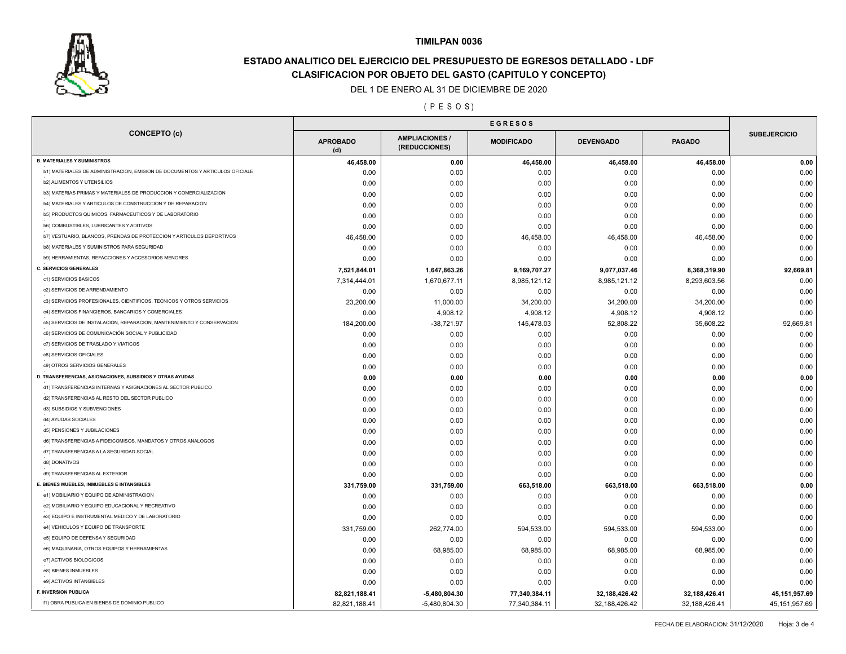

# **ESTADO ANALITICO DEL EJERCICIO DEL PRESUPUESTO DE EGRESOS DETALLADO - LDF CLASIFICACION POR OBJETO DEL GASTO (CAPITULO Y CONCEPTO)**

DEL 1 DE ENERO AL 31 DE DICIEMBRE DE 2020

( P E S O S )

|                                                                              | <b>EGRESOS</b>         |                                      |                   |                  |               |                     |
|------------------------------------------------------------------------------|------------------------|--------------------------------------|-------------------|------------------|---------------|---------------------|
| <b>CONCEPTO (c)</b>                                                          | <b>APROBADO</b><br>(d) | <b>AMPLIACIONES</b><br>(REDUCCIONES) | <b>MODIFICADO</b> | <b>DEVENGADO</b> | <b>PAGADO</b> | <b>SUBEJERCICIO</b> |
| <b>B. MATERIALES Y SUMINISTROS</b>                                           | 46,458.00              | 0.00                                 | 46,458.00         | 46,458.00        | 46,458.00     | 0.00                |
| b1) MATERIALES DE ADMINISTRACION, EMISION DE DOCUMENTOS Y ARTICULOS OFICIALE | 0.00                   | 0.00                                 | 0.00              | 0.00             | 0.00          | 0.00                |
| <b>b2) ALIMENTOS Y UTENSILIOS</b>                                            | 0.00                   | 0.00                                 | 0.00              | 0.00             | 0.00          | 0.00                |
| b3) MATERIAS PRIMAS Y MATERIALES DE PRODUCCION Y COMERCIALIZACION            | 0.00                   | 0.00                                 | 0.00              | 0.00             | 0.00          | 0.00                |
| b4) MATERIALES Y ARTICULOS DE CONSTRUCCION Y DE REPARACION                   | 0.00                   | 0.00                                 | 0.00              | 0.00             | 0.00          | 0.00                |
| b5) PRODUCTOS QUIMICOS, FARMACEUTICOS Y DE LABORATORIO                       | 0.00                   | 0.00                                 | 0.00              | 0.00             | 0.00          | 0.00                |
| <b>b6) COMBUSTIBLES, LUBRICANTES Y ADITIVOS</b>                              | 0.00                   | 0.00                                 | 0.00              | 0.00             | 0.00          | 0.00                |
| b7) VESTUARIO, BLANCOS, PRENDAS DE PROTECCION Y ARTICULOS DEPORTIVOS         | 46,458.00              | 0.00                                 | 46,458.00         | 46,458.00        | 46,458.00     | 0.00                |
| b8) MATERIALES Y SUMINISTROS PARA SEGURIDAD                                  | 0.00                   | 0.00                                 | 0.00              | 0.00             | 0.00          | 0.00                |
| b9) HERRAMIENTAS, REFACCIONES Y ACCESORIOS MENORES                           | 0.00                   | 0.00                                 | 0.00              | 0.00             | 0.00          | 0.00                |
| <b>C. SERVICIOS GENERALES</b>                                                | 7,521,844.01           | 1,647,863.26                         | 9,169,707.27      | 9,077,037.46     | 8,368,319.90  | 92,669.81           |
| c1) SERVICIOS BASICOS                                                        | 7,314,444.01           | 1,670,677.11                         | 8,985,121.12      | 8,985,121.12     | 8,293,603.56  | 0.00                |
| c2) SERVICIOS DE ARRENDAMIENTO                                               | 0.00                   | 0.00                                 | 0.00              | 0.00             | 0.00          | 0.00                |
| c3) SERVICIOS PROFESIONALES, CIENTIFICOS, TECNICOS Y OTROS SERVICIOS         | 23,200.00              | 11,000.00                            | 34,200.00         | 34,200.00        | 34,200.00     | 0.00                |
| c4) SERVICIOS FINANCIEROS, BANCARIOS Y COMERCIALES                           | 0.00                   | 4,908.12                             | 4,908.12          | 4,908.12         | 4,908.12      | 0.00                |
| c5) SERVICIOS DE INSTALACION, REPARACION, MANTENIMIENTO Y CONSERVACION       | 184,200.00             | $-38,721.97$                         | 145,478.03        | 52,808.22        | 35,608.22     | 92,669.81           |
| c6) SERVICIOS DE COMUNICACIÓN SOCIAL Y PUBLICIDAD                            | 0.00                   | 0.00                                 | 0.00              | 0.00             | 0.00          | 0.00                |
| c7) SERVICIOS DE TRASLADO Y VIATICOS                                         | 0.00                   | 0.00                                 | 0.00              | 0.00             | 0.00          | 0.00                |
| c8) SERVICIOS OFICIALES                                                      | 0.00                   | 0.00                                 | 0.00              | 0.00             | 0.00          | 0.00                |
| c9) OTROS SERVICIOS GENERALES                                                | 0.00                   | 0.00                                 | 0.00              | 0.00             | 0.00          | 0.00                |
| D. TRANSFERENCIAS, ASIGNACIONES, SUBSIDIOS Y OTRAS AYUDAS                    | 0.00                   | 0.00                                 | 0.00              | 0.00             | 0.00          | 0.00                |
| d1) TRANSFERENCIAS INTERNAS Y ASIGNACIONES AL SECTOR PUBLICO                 | 0.00                   | 0.00                                 | 0.00              | 0.00             | 0.00          | 0.00                |
| d2) TRANSFERENCIAS AL RESTO DEL SECTOR PUBLICO                               | 0.00                   | 0.00                                 | 0.00              | 0.00             | 0.00          | 0.00                |
| d3) SUBSIDIOS Y SUBVENCIONES                                                 | 0.00                   | 0.00                                 | 0.00              | 0.00             | 0.00          | 0.00                |
| d4) AYUDAS SOCIALES                                                          | 0.00                   | 0.00                                 | 0.00              | 0.00             | 0.00          | 0.00                |
| d5) PENSIONES Y JUBILACIONES                                                 | 0.00                   | 0.00                                 | 0.00              | 0.00             | 0.00          | 0.00                |
| d6) TRANSFERENCIAS A FIDEICOMISOS, MANDATOS Y OTROS ANALOGOS                 | 0.00                   | 0.00                                 | 0.00              | 0.00             | 0.00          | 0.00                |
| d7) TRANSFERENCIAS A LA SEGURIDAD SOCIAL                                     | 0.00                   | 0.00                                 | 0.00              | 0.00             | 0.00          | 0.00                |
| d8) DONATIVOS                                                                | 0.00                   | 0.00                                 | 0.00              | 0.00             | 0.00          | 0.00                |
| d9) TRANSFERENCIAS AL EXTERIOR                                               | 0.00                   | 0.00                                 | 0.00              | 0.00             | 0.00          | 0.00                |
| E. BIENES MUEBLES, INMUEBLES E INTANGIBLES                                   | 331,759.00             | 331,759.00                           | 663,518.00        | 663,518.00       | 663,518.00    | 0.00                |
| e1) MOBILIARIO Y EQUIPO DE ADMINISTRACION                                    | 0.00                   | 0.00                                 | 0.00              | 0.00             | 0.00          | 0.00                |
| e2) MOBILIARIO Y EQUIPO EDUCACIONAL Y RECREATIVO                             | 0.00                   | 0.00                                 | 0.00              | 0.00             | 0.00          | 0.00                |
| e3) EQUIPO E INSTRUMENTAL MEDICO Y DE LABORATORIO                            | 0.00                   | 0.00                                 | 0.00              | 0.00             | 0.00          | 0.00                |
| e4) VEHICULOS Y EQUIPO DE TRANSPORTE                                         | 331,759.00             | 262,774.00                           | 594,533.00        | 594,533.00       | 594,533.00    | 0.00                |
| e5) EQUIPO DE DEFENSA Y SEGURIDAD                                            | 0.00                   | 0.00                                 | 0.00              | 0.00             | 0.00          | 0.00                |
| e6) MAQUINARIA, OTROS EQUIPOS Y HERRAMIENTAS                                 | 0.00                   | 68,985.00                            | 68,985.00         | 68,985.00        | 68,985.00     | 0.00                |
| e7) ACTIVOS BIOLOGICOS                                                       | 0.00                   | 0.00                                 | 0.00              | 0.00             | 0.00          | 0.00                |
| e8) BIENES INMUEBLES                                                         | 0.00                   | 0.00                                 | 0.00              | 0.00             | 0.00          | 0.00                |
| e9) ACTIVOS INTANGIBLES                                                      | 0.00                   | 0.00                                 | 0.00              | 0.00             | 0.00          | 0.00                |
| F. INVERSION PUBLICA                                                         |                        |                                      |                   |                  |               |                     |
|                                                                              | 82,821,188.41          | $-5,480,804.30$                      | 77,340,384.11     | 32, 188, 426. 42 | 32,188,426.41 | 45, 151, 957.69     |